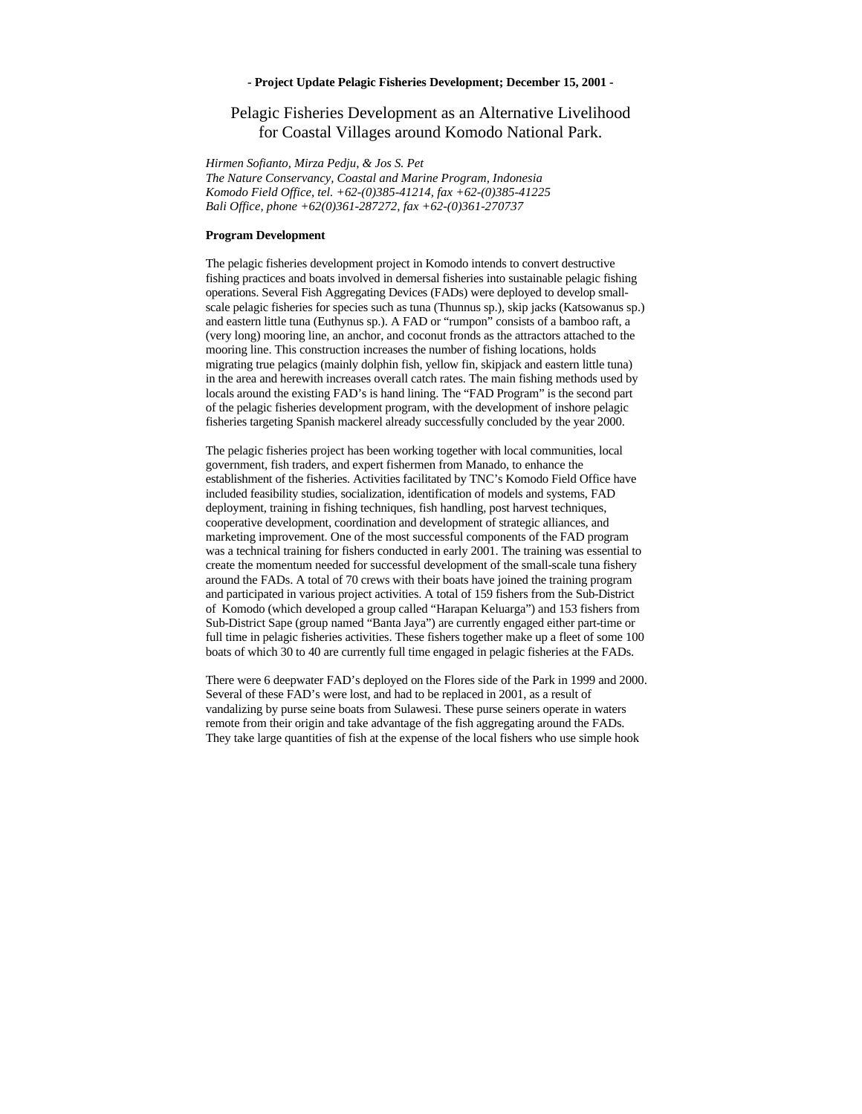## **- Project Update Pelagic Fisheries Development; December 15, 2001 -**

## Pelagic Fisheries Development as an Alternative Livelihood for Coastal Villages around Komodo National Park.

*Hirmen Sofianto, Mirza Pedju, & Jos S. Pet*

*The Nature Conservancy, Coastal and Marine Program, Indonesia Komodo Field Office, tel. +62-(0)385-41214, fax +62-(0)385-41225 Bali Office, phone +62(0)361-287272, fax +62-(0)361-270737*

## **Program Development**

The pelagic fisheries development project in Komodo intends to convert destructive fishing practices and boats involved in demersal fisheries into sustainable pelagic fishing operations. Several Fish Aggregating Devices (FADs) were deployed to develop smallscale pelagic fisheries for species such as tuna (Thunnus sp.), skip jacks (Katsowanus sp.) and eastern little tuna (Euthynus sp.). A FAD or "rumpon" consists of a bamboo raft, a (very long) mooring line, an anchor, and coconut fronds as the attractors attached to the mooring line. This construction increases the number of fishing locations, holds migrating true pelagics (mainly dolphin fish, yellow fin, skipjack and eastern little tuna) in the area and herewith increases overall catch rates. The main fishing methods used by locals around the existing FAD's is hand lining. The "FAD Program" is the second part of the pelagic fisheries development program, with the development of inshore pelagic fisheries targeting Spanish mackerel already successfully concluded by the year 2000.

The pelagic fisheries project has been working together with local communities, local government, fish traders, and expert fishermen from Manado, to enhance the establishment of the fisheries. Activities facilitated by TNC's Komodo Field Office have included feasibility studies, socialization, identification of models and systems, FAD deployment, training in fishing techniques, fish handling, post harvest techniques, cooperative development, coordination and development of strategic alliances, and marketing improvement. One of the most successful components of the FAD program was a technical training for fishers conducted in early 2001. The training was essential to create the momentum needed for successful development of the small-scale tuna fishery around the FADs. A total of 70 crews with their boats have joined the training program and participated in various project activities. A total of 159 fishers from the Sub-District of Komodo (which developed a group called "Harapan Keluarga") and 153 fishers from Sub-District Sape (group named "Banta Jaya") are currently engaged either part-time or full time in pelagic fisheries activities. These fishers together make up a fleet of some 100 boats of which 30 to 40 are currently full time engaged in pelagic fisheries at the FADs.

There were 6 deepwater FAD's deployed on the Flores side of the Park in 1999 and 2000. Several of these FAD's were lost, and had to be replaced in 2001, as a result of vandalizing by purse seine boats from Sulawesi. These purse seiners operate in waters remote from their origin and take advantage of the fish aggregating around the FADs. They take large quantities of fish at the expense of the local fishers who use simple hook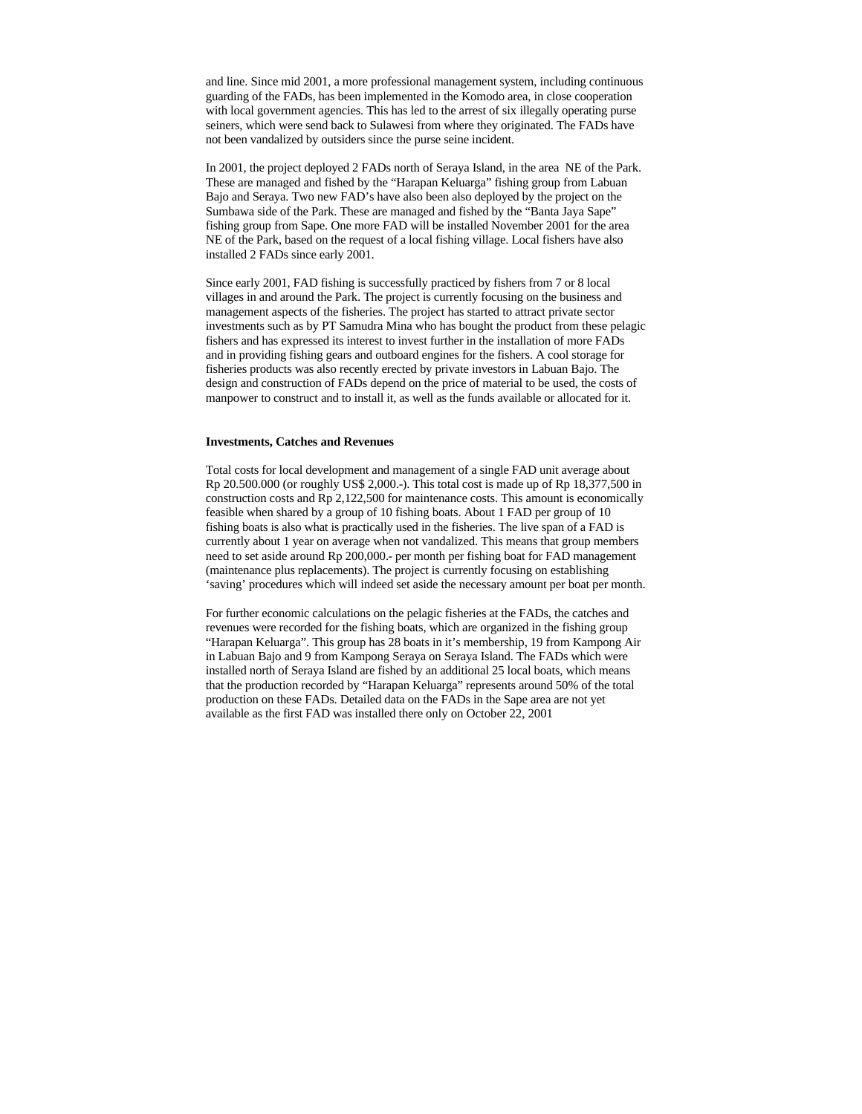and line. Since mid 2001, a more professional management system, including continuous guarding of the FADs, has been implemented in the Komodo area, in close cooperation with local government agencies. This has led to the arrest of six illegally operating purse seiners, which were send back to Sulawesi from where they originated. The FADs have not been vandalized by outsiders since the purse seine incident.

In 2001, the project deployed 2 FADs north of Seraya Island, in the area NE of the Park. These are managed and fished by the "Harapan Keluarga" fishing group from Labuan Bajo and Seraya. Two new FAD's have also been also deployed by the project on the Sumbawa side of the Park. These are managed and fished by the "Banta Jaya Sape" fishing group from Sape. One more FAD will be installed November 2001 for the area NE of the Park, based on the request of a local fishing village. Local fishers have also installed 2 FADs since early 2001.

Since early 2001, FAD fishing is successfully practiced by fishers from 7 or 8 local villages in and around the Park. The project is currently focusing on the business and management aspects of the fisheries. The project has started to attract private sector investments such as by PT Samudra Mina who has bought the product from these pelagic fishers and has expressed its interest to invest further in the installation of more FADs and in providing fishing gears and outboard engines for the fishers. A cool storage for fisheries products was also recently erected by private investors in Labuan Bajo. The design and construction of FADs depend on the price of material to be used, the costs of manpower to construct and to install it, as well as the funds available or allocated for it.

## **Investments, Catches and Revenues**

Total costs for local development and management of a single FAD unit average about Rp 20.500.000 (or roughly US\$ 2,000.-). This total cost is made up of Rp 18,377,500 in construction costs and Rp 2,122,500 for maintenance costs. This amount is economically feasible when shared by a group of 10 fishing boats. About 1 FAD per group of 10 fishing boats is also what is practically used in the fisheries. The live span of a FAD is currently about 1 year on average when not vandalized. This means that group members need to set aside around Rp 200,000.- per month per fishing boat for FAD management (maintenance plus replacements). The project is currently focusing on establishing 'saving' procedures which will indeed set aside the necessary amount per boat per month.

For further economic calculations on the pelagic fisheries at the FADs, the catches and revenues were recorded for the fishing boats, which are organized in the fishing group "Harapan Keluarga". This group has 28 boats in it's membership, 19 from Kampong Air in Labuan Bajo and 9 from Kampong Seraya on Seraya Island. The FADs which were installed north of Seraya Island are fished by an additional 25 local boats, which means that the production recorded by "Harapan Keluarga" represents around 50% of the total production on these FADs. Detailed data on the FADs in the Sape area are not yet available as the first FAD was installed there only on October 22, 2001